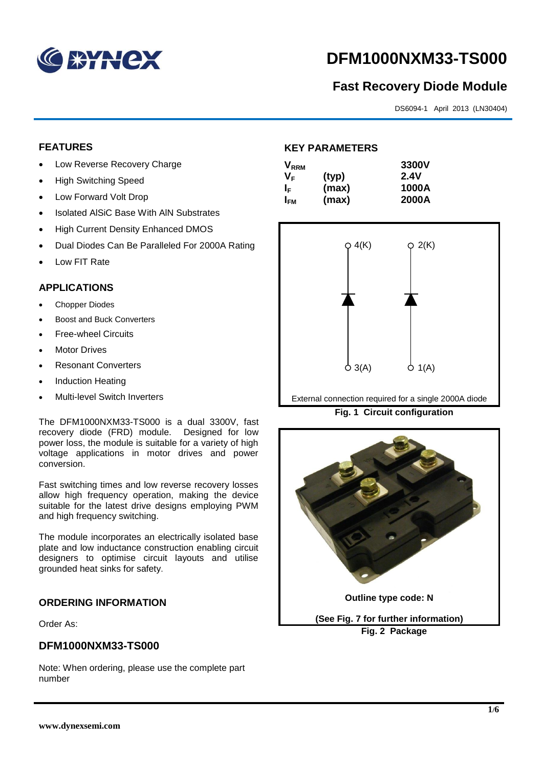

# **DFM1000NXM33-TS000**

# **Fast Recovery Diode Module**

DS6094-1 April 2013 (LN30404)

### **FEATURES**

- Low Reverse Recovery Charge
- High Switching Speed
- Low Forward Volt Drop
- Isolated AISiC Base With AIN Substrates
- High Current Density Enhanced DMOS
- Dual Diodes Can Be Paralleled For 2000A Rating
- Low FIT Rate

#### **APPLICATIONS**

- Chopper Diodes
- Boost and Buck Converters
- Free-wheel Circuits
- Motor Drives
- Resonant Converters
- Induction Heating
- Multi-level Switch Inverters

The DFM1000NXM33-TS000 is a dual 3300V, fast recovery diode (FRD) module. Designed for low power loss, the module is suitable for a variety of high voltage applications in motor drives and power conversion.

Fast switching times and low reverse recovery losses allow high frequency operation, making the device suitable for the latest drive designs employing PWM and high frequency switching.

The module incorporates an electrically isolated base plate and low inductance construction enabling circuit designers to optimise circuit layouts and utilise grounded heat sinks for safety.

#### **ORDERING INFORMATION**

Order As:

#### **DFM1000NXM33-TS000**

Note: When ordering, please use the complete part number

## **KEY PARAMETERS**

| $\mathsf{V}_{\mathsf{RRM}}$ |       | 3300V       |
|-----------------------------|-------|-------------|
| Vг                          | (typ) | <b>2.4V</b> |
| IF.                         | (max) | 1000A       |
| I <sub>FM</sub>             | (max) | 2000A       |



External connection required for a single 2000A diode

**Fig. 1 Circuit configuration**



**Fig. 2 Package**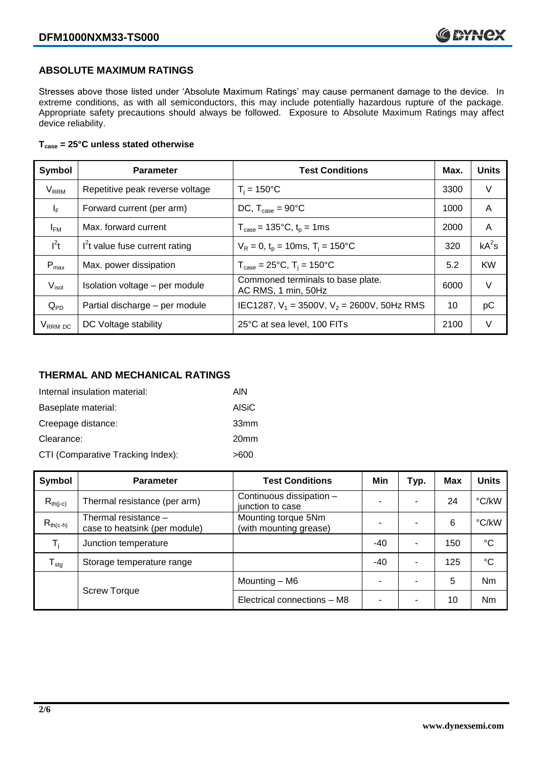#### **ABSOLUTE MAXIMUM RATINGS**

Stresses above those listed under 'Absolute Maximum Ratings' may cause permanent damage to the device. In extreme conditions, as with all semiconductors, this may include potentially hazardous rupture of the package. Appropriate safety precautions should always be followed. Exposure to Absolute Maximum Ratings may affect device reliability.

#### **Tcase = 25°C unless stated otherwise**

| Symbol                 | <b>Parameter</b>                | <b>Test Conditions</b>                                   | Max. | <b>Units</b> |
|------------------------|---------------------------------|----------------------------------------------------------|------|--------------|
| <b>V<sub>RRM</sub></b> | Repetitive peak reverse voltage | $T_i = 150^{\circ}C$                                     | 3300 | V            |
| $I_F$                  | Forward current (per arm)       | DC, $T_{\text{case}} = 90^{\circ}$ C                     | 1000 | A            |
| $I_{FM}$               | Max. forward current            | $T_{\text{case}} = 135^{\circ}C, t_{p} = 1ms$            | 2000 | A            |
| $I^2t$                 | $I2t$ value fuse current rating | $V_R = 0$ , $t_p = 10$ ms, $T_i = 150^{\circ}$ C         | 320  | $kA^2s$      |
| $P_{max}$              | Max. power dissipation          | $T_{\text{case}} = 25^{\circ}C$ , $T_i = 150^{\circ}C$   | 5.2  | <b>KW</b>    |
| V <sub>isol</sub>      | Isolation voltage - per module  | Commoned terminals to base plate.<br>AC RMS, 1 min, 50Hz | 6000 | $\vee$       |
| $Q_{PD}$               | Partial discharge - per module  | IEC1287, $V_1$ = 3500V, $V_2$ = 2600V, 50Hz RMS          | 10   | рC           |
| V <sub>RRM</sub> DC    | DC Voltage stability            | 25°C at sea level, 100 FITs                              | 2100 | V            |

# **THERMAL AND MECHANICAL RATINGS**

| Internal insulation material:     | AIN              |
|-----------------------------------|------------------|
| Baseplate material:               | AISiC            |
| Creepage distance:                | 33mm             |
| Clearance:                        | 20 <sub>mm</sub> |
| CTI (Comparative Tracking Index): | >600             |

| Symbol                     | <b>Parameter</b>                                      | <b>Test Conditions</b>                        | Min   | Typ. | Max | <b>Units</b>    |
|----------------------------|-------------------------------------------------------|-----------------------------------------------|-------|------|-----|-----------------|
| $R_{th(i-c)}$              | Thermal resistance (per arm)                          | Continuous dissipation -<br>junction to case  | -     |      | 24  | °C/kW           |
| $R_{th(c-h)}$              | Thermal resistance -<br>case to heatsink (per module) | Mounting torque 5Nm<br>(with mounting grease) |       |      | 6   | °C/kW           |
| T,                         | Junction temperature                                  |                                               | $-40$ | ۰    | 150 | $^{\circ}C$     |
| ${\mathsf T}_{\text{stg}}$ | Storage temperature range                             |                                               | $-40$ | ۰    | 125 | $\rm ^{\circ}C$ |
|                            |                                                       | Mounting - M6                                 | -     |      | 5   | Nm              |
|                            | <b>Screw Torque</b>                                   | Electrical connections - M8                   | ۰     |      | 10  | Nm              |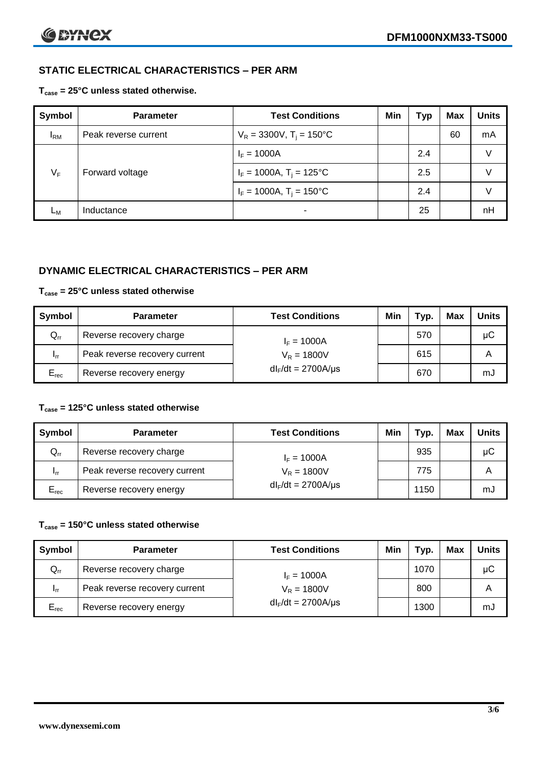# **STATIC ELECTRICAL CHARACTERISTICS – PER ARM**

**Tcase = 25°C unless stated otherwise.**

| Symbol       | <b>Parameter</b>     | <b>Test Conditions</b>                 | Min | Гур | <b>Max</b> | <b>Units</b> |
|--------------|----------------------|----------------------------------------|-----|-----|------------|--------------|
| $I_{\rm RM}$ | Peak reverse current | $V_R = 3300V$ , T <sub>i</sub> = 150°C |     |     | 60         | mA           |
| $V_F$        | Forward voltage      | $I_F = 1000A$                          |     | 2.4 |            | V            |
|              |                      | $I_F = 1000A$ , $T_i = 125^{\circ}C$   |     | 2.5 |            | V            |
|              |                      | $I_F = 1000A$ , $T_i = 150^{\circ}C$   |     | 2.4 |            | V            |
| Lм           | Inductance           | -                                      |     | 25  |            | nH           |

### **DYNAMIC ELECTRICAL CHARACTERISTICS – PER ARM**

### **Tcase = 25°C unless stated otherwise**

| Symbol          | <b>Parameter</b>              | <b>Test Conditions</b>   | Min | $\tau_{\text{yp.}}$ | <b>Max</b> | <b>Units</b> |
|-----------------|-------------------------------|--------------------------|-----|---------------------|------------|--------------|
| $Q_{rr}$        | Reverse recovery charge       | $I_F = 1000A$            |     | 570                 |            | $\mu$ C      |
| 1 <sub>rr</sub> | Peak reverse recovery current | $V_R = 1800V$            |     | 615                 |            | A            |
| $E_{rec}$       | Reverse recovery energy       | $dl_F/dt = 2700 A/\mu s$ |     | 670                 |            | mJ           |

#### **Tcase = 125°C unless stated otherwise**

| Symbol                     | <b>Parameter</b>              | <b>Test Conditions</b>  | Min | Typ. | Max | <b>Units</b> |
|----------------------------|-------------------------------|-------------------------|-----|------|-----|--------------|
| $\mathsf{Q}_{\mathsf{rr}}$ | Reverse recovery charge       | $I_F = 1000A$           |     | 935  |     | μC           |
| - Irr                      | Peak reverse recovery current | $V_R = 1800V$           |     | 775  |     | Α            |
| $E_{rec}$                  | Reverse recovery energy       | $dl_F/dt = 2700A/\mu s$ |     | 1150 |     | mJ           |

### **Tcase = 150°C unless stated otherwise**

| Symbol    | <b>Parameter</b>              | <b>Test Conditions</b>   | Min | Typ. | Max | <b>Units</b> |
|-----------|-------------------------------|--------------------------|-----|------|-----|--------------|
| $Q_{rr}$  | Reverse recovery charge       | $I_F = 1000A$            |     | 1070 |     | μC           |
| - Irr     | Peak reverse recovery current | $V_R = 1800V$            |     | 800  |     | Α            |
| $E_{rec}$ | Reverse recovery energy       | $dl_F/dt = 2700 A/\mu s$ |     | 1300 |     | mJ           |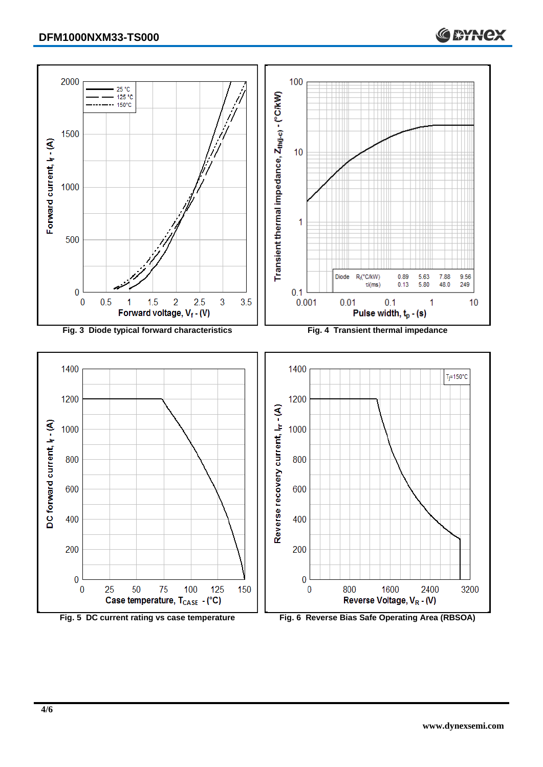

**Fig. 5 DC current rating vs case temperature Fig. 6 Reverse Bias Safe Operating Area (RBSOA)**

 $\bf{0}$ 

 $\bf{0}$ 

800

1600

Reverse Voltage, VR - (V)

2400

3200

**C BYNCX** 

 $\overline{0}$ 

 $\bf{0}$ 

25

50

75

Case temperature, T<sub>CASE</sub> - (°C)

100

125

150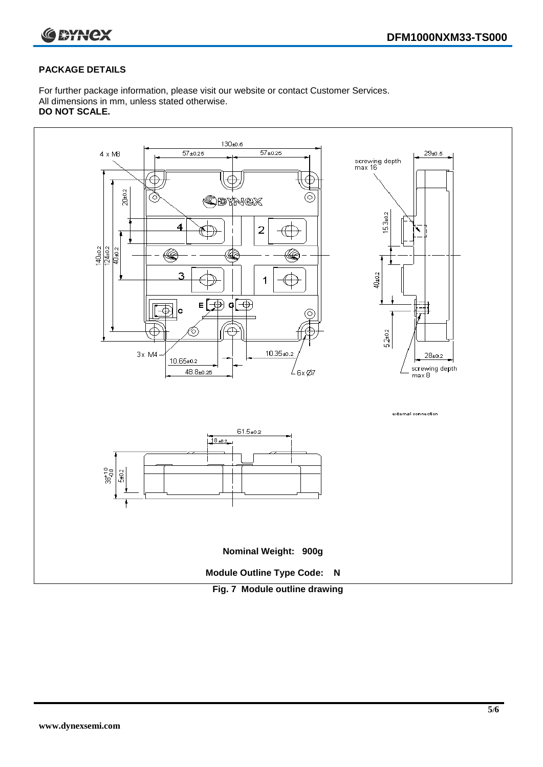



#### **PACKAGE DETAILS**

For further package information, please visit our website or contact Customer Services. All dimensions in mm, unless stated otherwise. **DO NOT SCALE.**